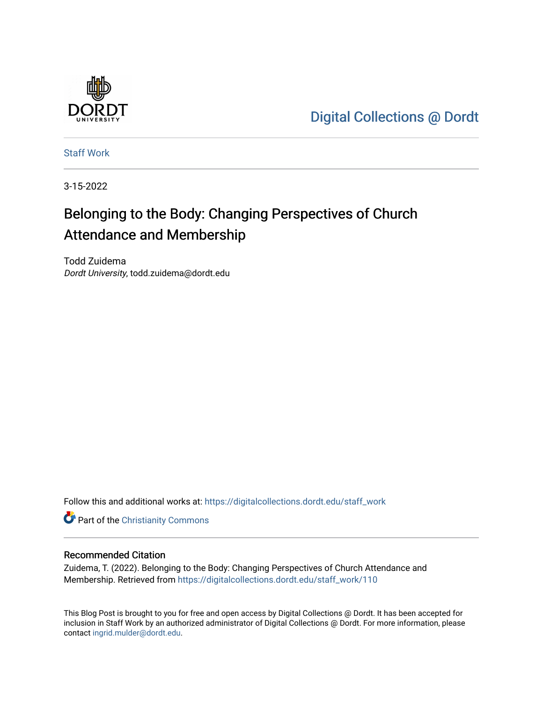

[Digital Collections @ Dordt](https://digitalcollections.dordt.edu/) 

[Staff Work](https://digitalcollections.dordt.edu/staff_work) 

3-15-2022

# Belonging to the Body: Changing Perspectives of Church Attendance and Membership

Todd Zuidema Dordt University, todd.zuidema@dordt.edu

Follow this and additional works at: [https://digitalcollections.dordt.edu/staff\\_work](https://digitalcollections.dordt.edu/staff_work?utm_source=digitalcollections.dordt.edu%2Fstaff_work%2F110&utm_medium=PDF&utm_campaign=PDFCoverPages)

Part of the [Christianity Commons](http://network.bepress.com/hgg/discipline/1181?utm_source=digitalcollections.dordt.edu%2Fstaff_work%2F110&utm_medium=PDF&utm_campaign=PDFCoverPages) 

#### Recommended Citation

Zuidema, T. (2022). Belonging to the Body: Changing Perspectives of Church Attendance and Membership. Retrieved from [https://digitalcollections.dordt.edu/staff\\_work/110](https://digitalcollections.dordt.edu/staff_work/110?utm_source=digitalcollections.dordt.edu%2Fstaff_work%2F110&utm_medium=PDF&utm_campaign=PDFCoverPages) 

This Blog Post is brought to you for free and open access by Digital Collections @ Dordt. It has been accepted for inclusion in Staff Work by an authorized administrator of Digital Collections @ Dordt. For more information, please contact [ingrid.mulder@dordt.edu.](mailto:ingrid.mulder@dordt.edu)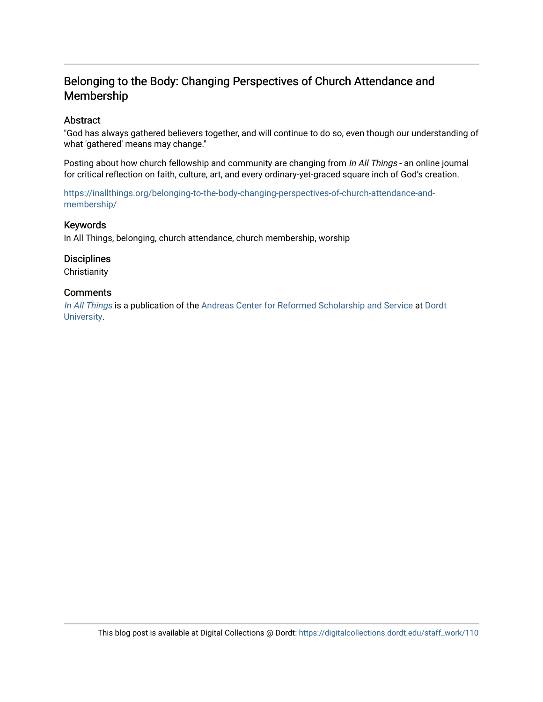## Belonging to the Body: Changing Perspectives of Church Attendance and Membership

#### Abstract

"God has always gathered believers together, and will continue to do so, even though our understanding of what 'gathered' means may change."

Posting about how church fellowship and community are changing from In All Things - an online journal for critical reflection on faith, culture, art, and every ordinary-yet-graced square inch of God's creation.

[https://inallthings.org/belonging-to-the-body-changing-perspectives-of-church-attendance-and](https://inallthings.org/belonging-to-the-body-changing-perspectives-of-church-attendance-and-membership/)[membership/](https://inallthings.org/belonging-to-the-body-changing-perspectives-of-church-attendance-and-membership/) 

#### Keywords

In All Things, belonging, church attendance, church membership, worship

**Disciplines Christianity** 

#### **Comments**

[In All Things](http://inallthings.org/) is a publication of the [Andreas Center for Reformed Scholarship and Service](http://www.dordt.edu/services_support/andreas_center/) at Dordt [University](http://www.dordt.edu/).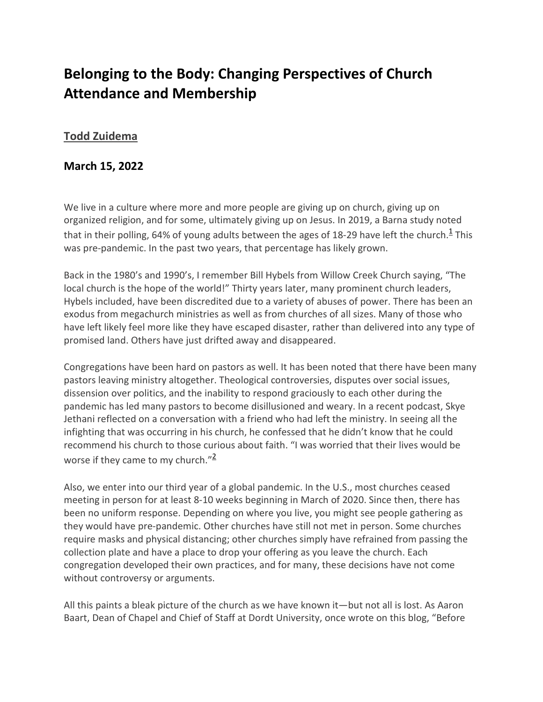## **Belonging to the Body: Changing Perspectives of Church Attendance and Membership**

### **[Todd Zuidema](https://inallthings.org/author/todd-zuidema/)**

### **March 15, 2022**

We live in a culture where more and more people are giving up on church, giving up on organized religion, and for some, ultimately giving up on Jesus. In 2019, a Barna study noted that in their polling, 64% of young adults between the ages of 18-29 have left the church. $1$ <sup>1</sup> This was pre-pandemic. In the past two years, that percentage has likely grown.

Back in the 1980's and 1990's, I remember Bill Hybels from Willow Creek Church saying, "The local church is the hope of the world!" Thirty years later, many prominent church leaders, Hybels included, have been discredited due to a variety of abuses of power. There has been an exodus from megachurch ministries as well as from churches of all sizes. Many of those who have left likely feel more like they have escaped disaster, rather than delivered into any type of promised land. Others have just drifted away and disappeared.

Congregations have been hard on pastors as well. It has been noted that there have been many pastors leaving ministry altogether. Theological controversies, disputes over social issues, dissension over politics, and the inability to respond graciously to each other during the pandemic has led many pastors to become disillusioned and weary. In a recent podcast, Skye Jethani reflected on a conversation with a friend who had left the ministry. In seeing all the infighting that was occurring in his church, he confessed that he didn't know that he could recommend his church to those curious about faith. "I was worried that their lives would be worse if they came to my church." $\frac{2}{3}$ 

Also, we enter into our third year of a global pandemic. In the U.S., most churches ceased meeting in person for at least 8-10 weeks beginning in March of 2020. Since then, there has been no uniform response. Depending on where you live, you might see people gathering as they would have pre-pandemic. Other churches have still not met in person. Some churches require masks and physical distancing; other churches simply have refrained from passing the collection plate and have a place to drop your offering as you leave the church. Each congregation developed their own practices, and for many, these decisions have not come without controversy or arguments.

All this paints a bleak picture of the church as we have known it—but not all is lost. As Aaron Baart, Dean of Chapel and Chief of Staff at Dordt University, once wrote on this blog, "Before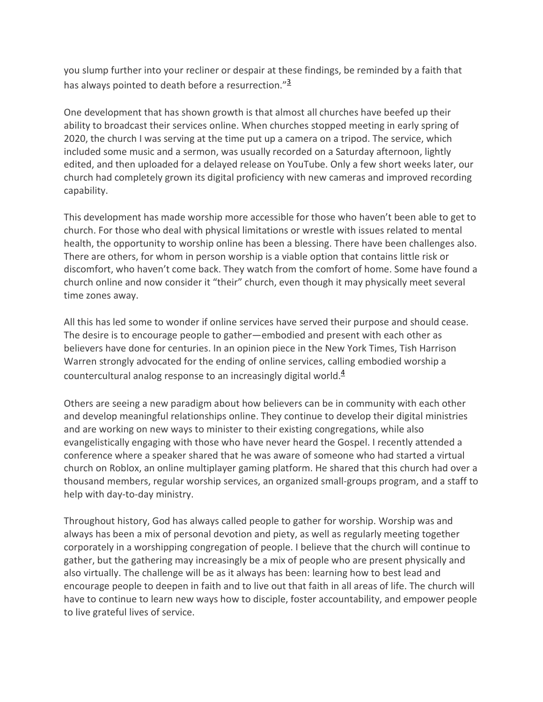you slump further into your recliner or despair at these findings, be reminded by a faith that has always pointed to death before a resurrection."<sup>3</sup>

One development that has shown growth is that almost all churches have beefed up their ability to broadcast their services online. When churches stopped meeting in early spring of 2020, the church I was serving at the time put up a camera on a tripod. The service, which included some music and a sermon, was usually recorded on a Saturday afternoon, lightly edited, and then uploaded for a delayed release on YouTube. Only a few short weeks later, our church had completely grown its digital proficiency with new cameras and improved recording capability.

This development has made worship more accessible for those who haven't been able to get to church. For those who deal with physical limitations or wrestle with issues related to mental health, the opportunity to worship online has been a blessing. There have been challenges also. There are others, for whom in person worship is a viable option that contains little risk or discomfort, who haven't come back. They watch from the comfort of home. Some have found a church online and now consider it "their" church, even though it may physically meet several time zones away.

All this has led some to wonder if online services have served their purpose and should cease. The desire is to encourage people to gather—embodied and present with each other as believers have done for centuries. In an opinion piece in the New York Times, Tish Harrison Warren strongly advocated for the ending of online services, calling embodied worship a countercultural analog response to an increasingly digital world. $4$ 

Others are seeing a new paradigm about how believers can be in community with each other and develop meaningful relationships online. They continue to develop their digital ministries and are working on new ways to minister to their existing congregations, while also evangelistically engaging with those who have never heard the Gospel. I recently attended a conference where a speaker shared that he was aware of someone who had started a virtual church on Roblox, an online multiplayer gaming platform. He shared that this church had over a thousand members, regular worship services, an organized small-groups program, and a staff to help with day-to-day ministry.

Throughout history, God has always called people to gather for worship. Worship was and always has been a mix of personal devotion and piety, as well as regularly meeting together corporately in a worshipping congregation of people. I believe that the church will continue to gather, but the gathering may increasingly be a mix of people who are present physically and also virtually. The challenge will be as it always has been: learning how to best lead and encourage people to deepen in faith and to live out that faith in all areas of life. The church will have to continue to learn new ways how to disciple, foster accountability, and empower people to live grateful lives of service.